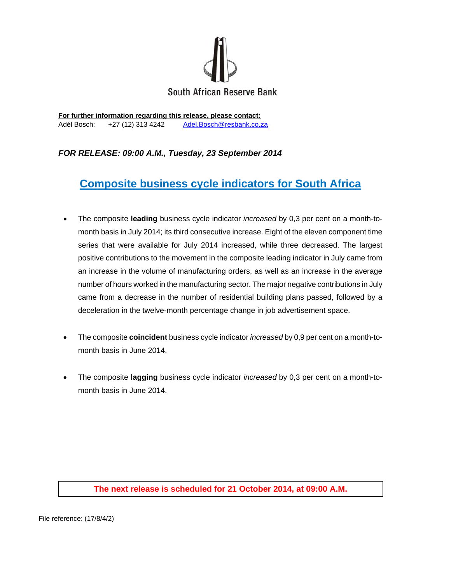

**For further information regarding this release, please contact:**  Adél Bosch: +27 (12) 313 4242 Adel.Bosch@resbank.co.za

## *FOR RELEASE: 09:00 A.M., Tuesday, 23 September 2014*

## **Composite business cycle indicators for South Africa**

- The composite **leading** business cycle indicator *increased* by 0,3 per cent on a month-tomonth basis in July 2014; its third consecutive increase. Eight of the eleven component time series that were available for July 2014 increased, while three decreased. The largest positive contributions to the movement in the composite leading indicator in July came from an increase in the volume of manufacturing orders, as well as an increase in the average number of hours worked in the manufacturing sector. The major negative contributions in July came from a decrease in the number of residential building plans passed, followed by a deceleration in the twelve-month percentage change in job advertisement space.
- The composite **coincident** business cycle indicator *increased* by 0,9 per cent on a month-tomonth basis in June 2014.
- The composite **lagging** business cycle indicator *increased* by 0,3 per cent on a month-tomonth basis in June 2014.

## **The next release is scheduled for 21 October 2014, at 09:00 A.M.**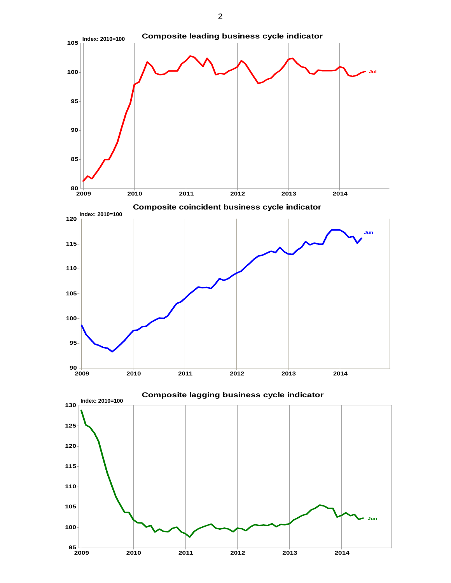